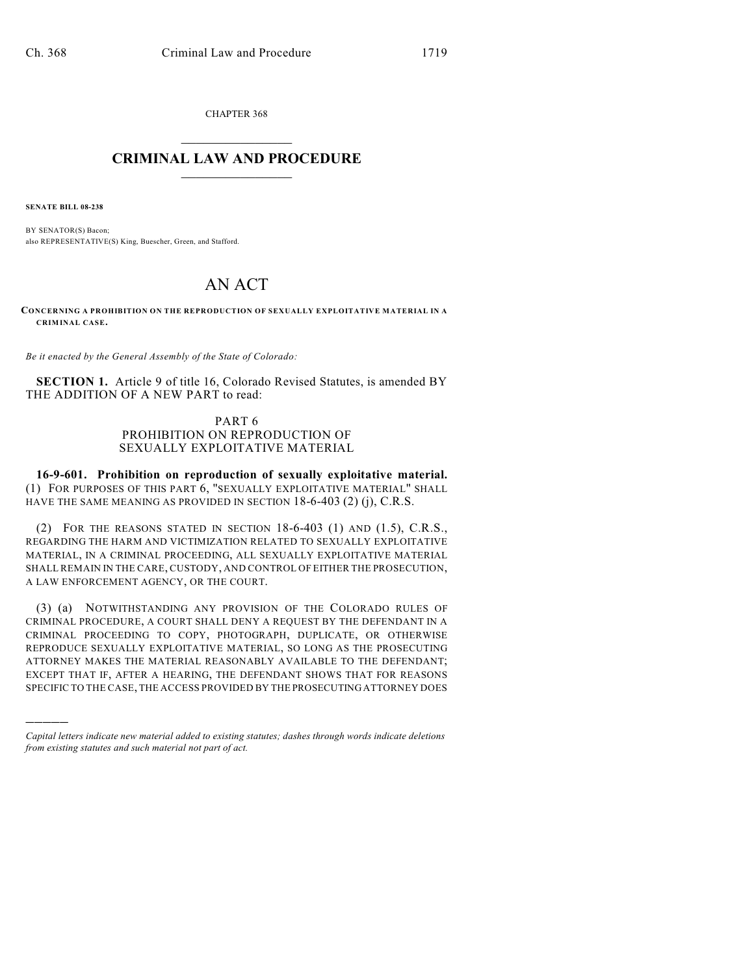CHAPTER 368  $\mathcal{L}_\text{max}$  . The set of the set of the set of the set of the set of the set of the set of the set of the set of the set of the set of the set of the set of the set of the set of the set of the set of the set of the set

## **CRIMINAL LAW AND PROCEDURE**  $\_$   $\_$   $\_$   $\_$   $\_$   $\_$   $\_$   $\_$   $\_$   $\_$

**SENATE BILL 08-238**

)))))

BY SENATOR(S) Bacon; also REPRESENTATIVE(S) King, Buescher, Green, and Stafford.

## AN ACT

**CONCERNING A PROHIBITION ON THE REPRODUCTION OF SEXUALLY EXPLOITATIVE MATERIAL IN A CRIMINAL CASE.**

*Be it enacted by the General Assembly of the State of Colorado:*

**SECTION 1.** Article 9 of title 16, Colorado Revised Statutes, is amended BY THE ADDITION OF A NEW PART to read:

## PART 6 PROHIBITION ON REPRODUCTION OF SEXUALLY EXPLOITATIVE MATERIAL

**16-9-601. Prohibition on reproduction of sexually exploitative material.** (1) FOR PURPOSES OF THIS PART 6, "SEXUALLY EXPLOITATIVE MATERIAL" SHALL HAVE THE SAME MEANING AS PROVIDED IN SECTION 18-6-403 (2) (j), C.R.S.

(2) FOR THE REASONS STATED IN SECTION 18-6-403 (1) AND (1.5), C.R.S., REGARDING THE HARM AND VICTIMIZATION RELATED TO SEXUALLY EXPLOITATIVE MATERIAL, IN A CRIMINAL PROCEEDING, ALL SEXUALLY EXPLOITATIVE MATERIAL SHALL REMAIN IN THE CARE, CUSTODY, AND CONTROL OF EITHER THE PROSECUTION, A LAW ENFORCEMENT AGENCY, OR THE COURT.

(3) (a) NOTWITHSTANDING ANY PROVISION OF THE COLORADO RULES OF CRIMINAL PROCEDURE, A COURT SHALL DENY A REQUEST BY THE DEFENDANT IN A CRIMINAL PROCEEDING TO COPY, PHOTOGRAPH, DUPLICATE, OR OTHERWISE REPRODUCE SEXUALLY EXPLOITATIVE MATERIAL, SO LONG AS THE PROSECUTING ATTORNEY MAKES THE MATERIAL REASONABLY AVAILABLE TO THE DEFENDANT; EXCEPT THAT IF, AFTER A HEARING, THE DEFENDANT SHOWS THAT FOR REASONS SPECIFIC TO THE CASE, THE ACCESS PROVIDED BY THE PROSECUTING ATTORNEY DOES

*Capital letters indicate new material added to existing statutes; dashes through words indicate deletions from existing statutes and such material not part of act.*